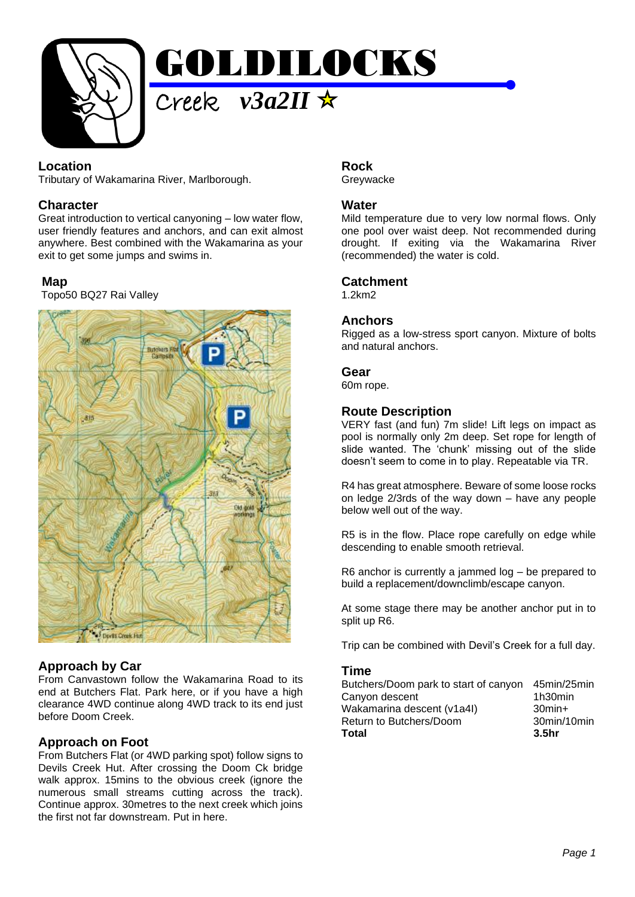

### **Location**

Tributary of Wakamarina River, Marlborough.

### **Character**

Great introduction to vertical canyoning – low water flow, user friendly features and anchors, and can exit almost anywhere. Best combined with the Wakamarina as your exit to get some jumps and swims in.

### **Map**

Topo50 BQ27 Rai Valley



# **Approach by Car**

From Canvastown follow the Wakamarina Road to its end at Butchers Flat. Park here, or if you have a high clearance 4WD continue along 4WD track to its end just before Doom Creek.

# **Approach on Foot**

From Butchers Flat (or 4WD parking spot) follow signs to Devils Creek Hut. After crossing the Doom Ck bridge walk approx. 15mins to the obvious creek (ignore the numerous small streams cutting across the track). Continue approx. 30metres to the next creek which joins the first not far downstream. Put in here.

#### **Rock Grevwacke**

### **Water**

Mild temperature due to very low normal flows. Only one pool over waist deep. Not recommended during drought. If exiting via the Wakamarina River (recommended) the water is cold.

### **Catchment**

1.2km2

### **Anchors**

Rigged as a low-stress sport canyon. Mixture of bolts and natural anchors.

### **Gear**

60m rope.

# **Route Description**

VERY fast (and fun) 7m slide! Lift legs on impact as pool is normally only 2m deep. Set rope for length of slide wanted. The 'chunk' missing out of the slide doesn't seem to come in to play. Repeatable via TR.

R4 has great atmosphere. Beware of some loose rocks on ledge 2/3rds of the way down – have any people below well out of the way.

R5 is in the flow. Place rope carefully on edge while descending to enable smooth retrieval.

R6 anchor is currently a jammed log – be prepared to build a replacement/downclimb/escape canyon.

At some stage there may be another anchor put in to split up R6.

Trip can be combined with Devil's Creek for a full day.

### **Time**

| Butchers/Doom park to start of canyon 45min/25min |                   |
|---------------------------------------------------|-------------------|
| Canyon descent                                    | 1h30min           |
| Wakamarina descent (v1a4l)                        | $30$ min $+$      |
| Return to Butchers/Doom                           | 30min/10min       |
| Total                                             | 3.5 <sub>hr</sub> |
|                                                   |                   |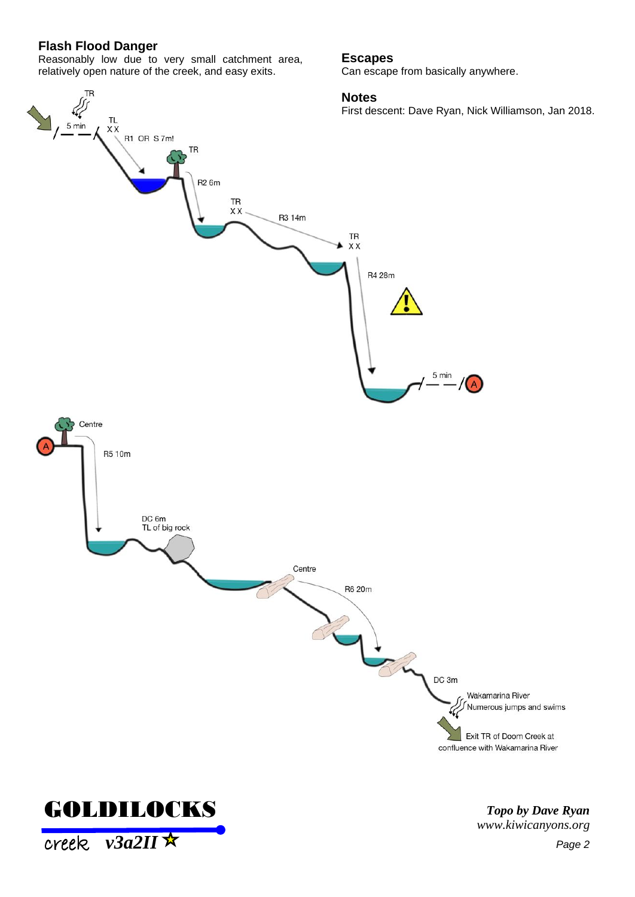### **Flash Flood Danger**

TR

Reasonably low due to very small catchment area, relatively open nature of the creek, and easy exits.

#### **Escapes**

Can escape from basically anywhere.

#### **Notes**

First descent: Dave Ryan, Nick Williamson, Jan 2018.





creek *v3a2II*

*Topo by Dave Ryan www.kiwicanyons.org*